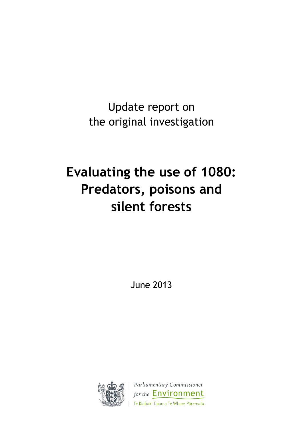Update report on the original investigation

# **Evaluating the use of 1080: Predators, poisons and silent forests**

June 2013



Parliamentary Commissioner for the **Environment** Te Kaitiaki Taiao a Te Whare Pāremata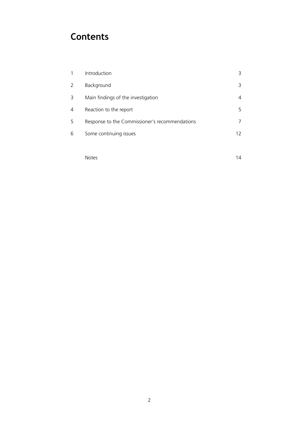## **Contents**

| 1 | Introduction                                   | 3  |
|---|------------------------------------------------|----|
| 2 | Background                                     | 3  |
| 3 | Main findings of the investigation             | 4  |
| 4 | Reaction to the report                         | 5  |
| 5 | Response to the Commissioner's recommendations |    |
| 6 | Some continuing issues                         | 12 |
|   |                                                |    |
|   |                                                |    |

Notes and the set of the set of the set of the set of the set of the set of the set of the set of the set of the set of the set of the set of the set of the set of the set of the set of the set of the set of the set of the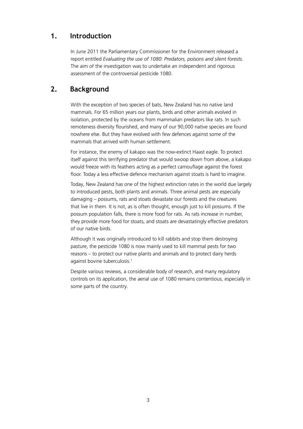## **1. Introduction**

In June 2011 the Parliamentary Commissioner for the Environment released a report entitled *Evaluating the use of 1080: Predators, poisons and silent forests.* The aim of the investigation was to undertake an independent and rigorous assessment of the controversial pesticide 1080.

## **2. Background**

With the exception of two species of bats, New Zealand has no native land mammals. For 65 million years our plants, birds and other animals evolved in isolation, protected by the oceans from mammalian predators like rats. In such remoteness diversity flourished, and many of our 90,000 native species are found nowhere else. But they have evolved with few defences against some of the mammals that arrived with human settlement.

For instance, the enemy of kakapo was the now-extinct Haast eagle. To protect itself against this terrifying predator that would swoop down from above, a kakapo would freeze with its feathers acting as a perfect camouflage against the forest floor. Today a less effective defence mechanism against stoats is hard to imagine.

Today, New Zealand has one of the highest extinction rates in the world due largely to introduced pests, both plants and animals. Three animal pests are especially damaging – possums, rats and stoats devastate our forests and the creatures that live in them. It is not, as is often thought, enough just to kill possums. If the possum population falls, there is more food for rats. As rats increase in number, they provide more food for stoats, and stoats are devastatingly effective predators of our native birds.

Although it was originally introduced to kill rabbits and stop them destroying pasture, the pesticide 1080 is now mainly used to kill mammal pests for two reasons – to protect our native plants and animals and to protect dairy herds against bovine tuberculosis.<sup>1</sup>

Despite various reviews, a considerable body of research, and many regulatory controls on its application, the aerial use of 1080 remains contentious, especially in some parts of the country.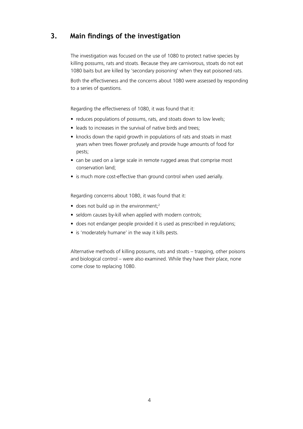## **3. Main findings of the investigation**

The investigation was focused on the use of 1080 to protect native species by killing possums, rats and stoats. Because they are carnivorous, stoats do not eat 1080 baits but are killed by 'secondary poisoning' when they eat poisoned rats.

Both the effectiveness and the concerns about 1080 were assessed by responding to a series of questions.

Regarding the effectiveness of 1080, it was found that it:

- reduces populations of possums, rats, and stoats down to low levels;
- leads to increases in the survival of native birds and trees:
- knocks down the rapid growth in populations of rats and stoats in mast years when trees flower profusely and provide huge amounts of food for pests;
- can be used on a large scale in remote rugged areas that comprise most conservation land;
- is much more cost-effective than ground control when used aerially.

Regarding concerns about 1080, it was found that it:

- $\bullet$  does not build up in the environment;<sup>2</sup>
- seldom causes by-kill when applied with modern controls;
- does not endanger people provided it is used as prescribed in regulations;
- is 'moderately humane' in the way it kills pests.

Alternative methods of killing possums, rats and stoats – trapping, other poisons and biological control – were also examined. While they have their place, none come close to replacing 1080.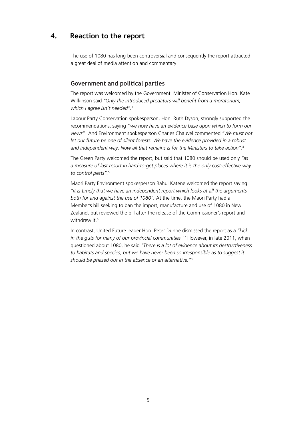## **4. Reaction to the report**

The use of 1080 has long been controversial and consequently the report attracted a great deal of media attention and commentary.

#### **Government and political parties**

The report was welcomed by the Government. Minister of Conservation Hon. Kate Wilkinson said *"Only the introduced predators will benefit from a moratorium, which I agree isn't needed".*<sup>3</sup>

Labour Party Conservation spokesperson, Hon. Ruth Dyson, strongly supported the recommendations, saying "*we now have an evidence base upon which to form our views*". And Environment spokesperson Charles Chauvel commented *"We must not let our future be one of silent forests. We have the evidence provided in a robust and independent way. Now all that remains is for the Ministers to take action".*<sup>4</sup> 

The Green Party welcomed the report, but said that 1080 should be used only *"as a measure of last resort in hard-to-get places where it is the only cost-effective way to control pests".*<sup>5</sup>

Maori Party Environment spokesperson Rahui Katene welcomed the report saying *"it is timely that we have an independent report which looks at all the arguments both for and against the use of 1080".* At the time, the Maori Party had a Member's bill seeking to ban the import, manufacture and use of 1080 in New Zealand, but reviewed the bill after the release of the Commissioner's report and withdrew it.<sup>6</sup>

In contrast, United Future leader Hon. Peter Dunne dismissed the report as a *"kick in the guts for many of our provincial communities."*<sup>7</sup> However, in late 2011, when questioned about 1080, he said *"There is a lot of evidence about its destructiveness to habitats and species, but we have never been so irresponsible as to suggest it should be phased out in the absence of an alternative."*8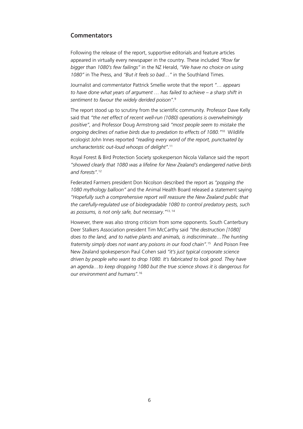#### **Commentators**

Following the release of the report, supportive editorials and feature articles appeared in virtually every newspaper in the country. These included *"Row far bigger than 1080's few failings"* in the NZ Herald, *"We have no choice on using 1080"* in The Press, and *"But it feels so bad…"* in the Southland Times.

Journalist and commentator Pattrick Smellie wrote that the report *"… appears to have done what years of argument … has failed to achieve – a sharp shift in sentiment to favour the widely derided poison".*<sup>9</sup>

The report stood up to scrutiny from the scientific community. Professor Dave Kelly said that *"the net effect of recent well-run (1080) operations is overwhelmingly positive",* and Professor Doug Armstrong said *"most people seem to mistake the ongoing declines of native birds due to predation to effects of 1080."*10 Wildlife ecologist John Innes reported *"reading every word of the report, punctuated by uncharacteristic out-loud whoops of delight".*<sup>11</sup>

Royal Forest & Bird Protection Society spokesperson Nicola Vallance said the report *"showed clearly that 1080 was a lifeline for New Zealand's endangered native birds and forests".*<sup>12</sup>

Federated Farmers president Don Nicolson described the report as *"popping the 1080 mythology balloon"* and the Animal Health Board released a statement saying *"Hopefully such a comprehensive report will reassure the New Zealand public that the carefully-regulated use of biodegradable 1080 to control predatory pests, such as possums, is not only safe, but necessary."*13, 14

However, there was also strong criticism from some opponents. South Canterbury Deer Stalkers Association president Tim McCarthy said *"the destruction [1080] does to the land, and to native plants and animals, is indiscriminate…The hunting fraternity simply does not want any poisons in our food chain".*15 And Poison Free New Zealand spokesperson Paul Cohen said *"it's just typical corporate science driven by people who want to drop 1080. It's fabricated to look good. They have an agenda…to keep dropping 1080 but the true science shows it is dangerous for our environment and humans".*16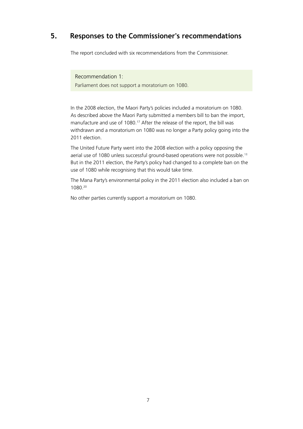## **5. Responses to the Commissioner's recommendations**

The report concluded with six recommendations from the Commissioner.

Recommendation 1: Parliament does not support a moratorium on 1080.

In the 2008 election, the Maori Party's policies included a moratorium on 1080. As described above the Maori Party submitted a members bill to ban the import, manufacture and use of 1080.<sup>17</sup> After the release of the report, the bill was withdrawn and a moratorium on 1080 was no longer a Party policy going into the 2011 election.

The United Future Party went into the 2008 election with a policy opposing the aerial use of 1080 unless successful ground-based operations were not possible.<sup>18</sup> But in the 2011 election, the Party's policy had changed to a complete ban on the use of 1080 while recognising that this would take time.

The Mana Party's environmental policy in the 2011 election also included a ban on 1080.20

No other parties currently support a moratorium on 1080.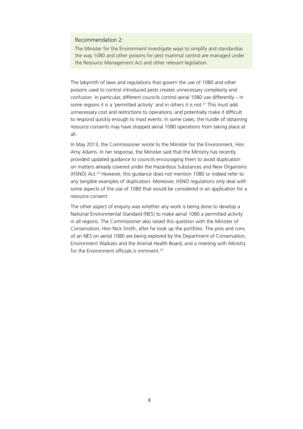#### Recommendation 2:

The Minister for the Environment investigate ways to simplify and standardise the way 1080 and other poisons for pest mammal control are managed under the Resource Management Act and other relevant legislation.

The labyrinth of laws and regulations that govern the use of 1080 and other poisons used to control introduced pests creates unnecessary complexity and confusion. In particular, different councils control aerial 1080 use differently – in some regions it is a 'permitted activity' and in others it is not.<sup>21</sup> This must add unnecessary cost and restrictions to operations, and potentially make it difficult to respond quickly enough to mast events. In some cases, the hurdle of obtaining resource consents may have stopped aerial 1080 operations from taking place at all.

In May 2013, the Commissioner wrote to the Minister for the Environment, Hon Amy Adams. In her response, the Minister said that the Ministry has recently provided updated guidance to councils encouraging them to avoid duplication on matters already covered under the Hazardous Substances and New Organisms (HSNO) Act.22 However, this guidance does not mention 1080 or indeed refer to any tangible examples of duplication. Moreover, HSNO regulations only deal with some aspects of the use of 1080 that would be considered in an application for a resource consent.

The other aspect of enquiry was whether any work is being done to develop a National Environmental Standard (NES) to make aerial 1080 a permitted activity in all regions. The Commissioner also raised this question with the Minister of Conservation, Hon Nick Smith, after he took up the portfolio. The pros and cons of an NES on aerial 1080 are being explored by the Department of Conservation, Environment Waikato and the Animal Health Board, and a meeting with Ministry for the Environment officials is imminent<sup>23</sup>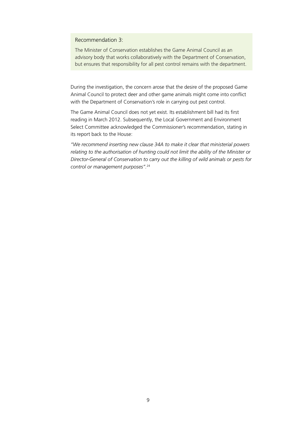Recommendation 3:

The Minister of Conservation establishes the Game Animal Council as an advisory body that works collaboratively with the Department of Conservation, but ensures that responsibility for all pest control remains with the department.

During the investigation, the concern arose that the desire of the proposed Game Animal Council to protect deer and other game animals might come into conflict with the Department of Conservation's role in carrying out pest control.

The Game Animal Council does not yet exist. Its establishment bill had its first reading in March 2012. Subsequently, the Local Government and Environment Select Committee acknowledged the Commissioner's recommendation, stating in its report back to the House:

*"We recommend inserting new clause 34A to make it clear that ministerial powers relating to the authorisation of hunting could not limit the ability of the Minister or Director-General of Conservation to carry out the killing of wild animals or pests for control or management purposes".*24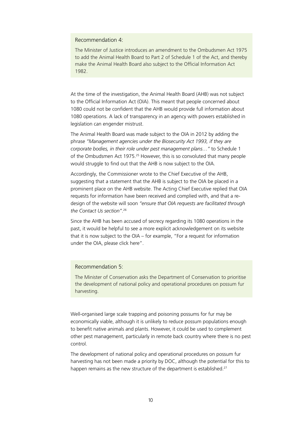Recommendation 4:

The Minister of Justice introduces an amendment to the Ombudsmen Act 1975 to add the Animal Health Board to Part 2 of Schedule 1 of the Act, and thereby make the Animal Health Board also subject to the Official Information Act 1982.

At the time of the investigation, the Animal Health Board (AHB) was not subject to the Official Information Act (OIA). This meant that people concerned about 1080 could not be confident that the AHB would provide full information about 1080 operations. A lack of transparency in an agency with powers established in legislation can engender mistrust.

The Animal Health Board was made subject to the OIA in 2012 by adding the phrase *"Management agencies under the Biosecurity Act 1993, if they are corporate bodies, in their role under pest management plans…"* to Schedule 1 of the Ombudsmen Act 1975.25 However, this is so convoluted that many people would struggle to find out that the AHB is now subject to the OIA.

Accordingly, the Commissioner wrote to the Chief Executive of the AHB, suggesting that a statement that the AHB is subject to the OIA be placed in a prominent place on the AHB website. The Acting Chief Executive replied that OIA requests for information have been received and complied with, and that a redesign of the website will soon *"ensure that OIA requests are facilitated through the Contact Us section"*. 26

Since the AHB has been accused of secrecy regarding its 1080 operations in the past, it would be helpful to see a more explicit acknowledgement on its website that it is now subject to the OIA – for example, "For a request for information under the OIA, please click here".

Recommendation 5:

The Minister of Conservation asks the Department of Conservation to prioritise the development of national policy and operational procedures on possum fur harvesting.

Well-organised large scale trapping and poisoning possums for fur may be economically viable, although it is unlikely to reduce possum populations enough to benefit native animals and plants. However, it could be used to complement other pest management, particularly in remote back country where there is no pest control.

The development of national policy and operational procedures on possum fur harvesting has not been made a priority by DOC, although the potential for this to happen remains as the new structure of the department is established.<sup>27</sup>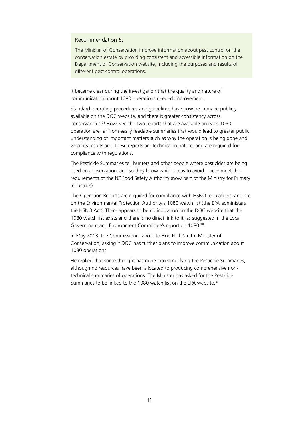Recommendation 6:

The Minister of Conservation improve information about pest control on the conservation estate by providing consistent and accessible information on the Department of Conservation website, including the purposes and results of different pest control operations.

It became clear during the investigation that the quality and nature of communication about 1080 operations needed improvement.

Standard operating procedures and guidelines have now been made publicly available on the DOC website, and there is greater consistency across conservancies.28 However, the two reports that are available on each 1080 operation are far from easily readable summaries that would lead to greater public understanding of important matters such as why the operation is being done and what its results are. These reports are technical in nature, and are required for compliance with regulations.

The Pesticide Summaries tell hunters and other people where pesticides are being used on conservation land so they know which areas to avoid. These meet the requirements of the NZ Food Safety Authority (now part of the Ministry for Primary Industries).

The Operation Reports are required for compliance with HSNO regulations, and are on the Environmental Protection Authority's 1080 watch list (the EPA administers the HSNO Act). There appears to be no indication on the DOC website that the 1080 watch list exists and there is no direct link to it, as suggested in the Local Government and Environment Committee's report on 1080.29

In May 2013, the Commissioner wrote to Hon Nick Smith, Minister of Conservation, asking if DOC has further plans to improve communication about 1080 operations.

He replied that some thought has gone into simplifying the Pesticide Summaries, although no resources have been allocated to producing comprehensive nontechnical summaries of operations. The Minister has asked for the Pesticide Summaries to be linked to the 1080 watch list on the EPA website.<sup>30</sup>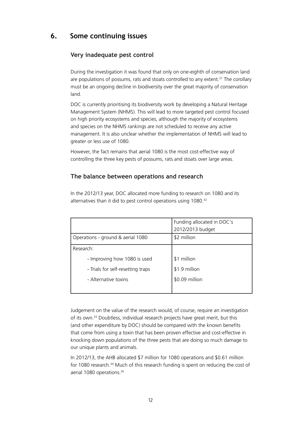## **6. Some continuing issues**

#### **Very inadequate pest control**

During the investigation it was found that only on one-eighth of conservation land are populations of possums, rats and stoats controlled to any extent.<sup>31</sup> The corollary must be an ongoing decline in biodiversity over the great majority of conservation land.

DOC is currently prioritising its biodiversity work by developing a Natural Heritage Management System (NHMS). This will lead to more targeted pest control focused on high priority ecosystems and species, although the majority of ecosystems and species on the NHMS rankings are not scheduled to receive any active management. It is also unclear whether the implementation of NHMS will lead to greater or less use of 1080.

However, the fact remains that aerial 1080 is the most cost-effective way of controlling the three key pests of possums, rats and stoats over large areas.

#### **The balance between operations and research**

|                                   | Funding allocated in DOC's<br>2012/2013 budget |
|-----------------------------------|------------------------------------------------|
| Operations - ground & aerial 1080 | \$2 million                                    |
| Research:                         |                                                |
| - Improving how 1080 is used      | \$1 million                                    |
| - Trials for self-resetting traps | \$1.9 million                                  |
| - Alternative toxins              | \$0.09 million                                 |
|                                   |                                                |

In the 2012/13 year, DOC allocated more funding to research on 1080 and its alternatives than it did to pest control operations using 1080.<sup>32</sup>

Judgement on the value of the research would, of course, require an investigation of its own.33 Doubtless, individual research projects have great merit, but this (and other expenditure by DOC) should be compared with the known benefits that come from using a toxin that has been proven effective and cost-effective in knocking down populations of the three pests that are doing so much damage to our unique plants and animals.

In 2012/13, the AHB allocated \$7 million for 1080 operations and \$0.61 million for 1080 research.<sup>34</sup> Much of this research funding is spent on reducing the cost of aerial 1080 operations.<sup>35</sup>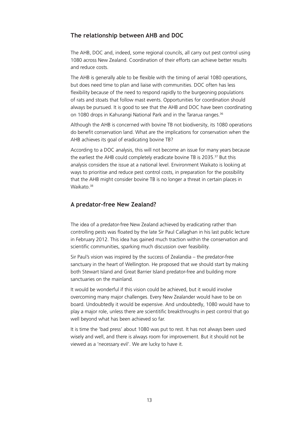#### **The relationship between AHB and DOC**

The AHB, DOC and, indeed, some regional councils, all carry out pest control using 1080 across New Zealand. Coordination of their efforts can achieve better results and reduce costs.

The AHB is generally able to be flexible with the timing of aerial 1080 operations, but does need time to plan and liaise with communities. DOC often has less flexibility because of the need to respond rapidly to the burgeoning populations of rats and stoats that follow mast events. Opportunities for coordination should always be pursued. It is good to see that the AHB and DOC have been coordinating on 1080 drops in Kahurangi National Park and in the Tararua ranges.36

Although the AHB is concerned with bovine TB not biodiversity, its 1080 operations do benefit conservation land. What are the implications for conservation when the AHB achieves its goal of eradicating bovine TB?

According to a DOC analysis, this will not become an issue for many years because the earliest the AHB could completely eradicate bovine TB is 2035.37 But this analysis considers the issue at a national level. Environment Waikato is looking at ways to prioritise and reduce pest control costs, in preparation for the possibility that the AHB might consider bovine TB is no longer a threat in certain places in Waikato.<sup>38</sup>

#### **A predator-free New Zealand?**

The idea of a predator-free New Zealand achieved by eradicating rather than controlling pests was floated by the late Sir Paul Callaghan in his last public lecture in February 2012. This idea has gained much traction within the conservation and scientific communities, sparking much discussion over feasibility.

Sir Paul's vision was inspired by the success of Zealandia – the predator-free sanctuary in the heart of Wellington. He proposed that we should start by making both Stewart Island and Great Barrier Island predator-free and building more sanctuaries on the mainland.

It would be wonderful if this vision could be achieved, but it would involve overcoming many major challenges. Every New Zealander would have to be on board. Undoubtedly it would be expensive. And undoubtedly, 1080 would have to play a major role, unless there are scientitific breakthroughs in pest control that go well beyond what has been achieved so far.

It is time the 'bad press' about 1080 was put to rest. It has not always been used wisely and well, and there is always room for improvement. But it should not be viewed as a 'necessary evil'. We are lucky to have it.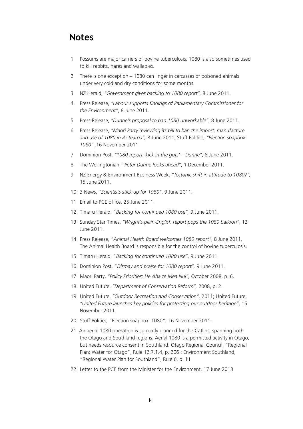## **Notes**

- 1 Possums are major carriers of bovine tuberculosis. 1080 is also sometimes used to kill rabbits, hares and wallabies.
- 2 There is one exception 1080 can linger in carcasses of poisoned animals under very cold and dry conditions for some months.
- 3 NZ Herald, *"Government gives backing to 1080 report",* 8 June 2011.
- 4 Press Release, *"Labour supports findings of Parliamentary Commissioner for the Environment"*, 8 June 2011.
- 5 Press Release, *"Dunne's proposal to ban 1080 unworkable"*, 8 June 2011.
- 6 Press Release, *"Maori Party reviewing its bill to ban the import, manufacture and use of 1080 in Aotearoa",* 8 June 2011; Stuff Politics*, "Election soapbox: 1080"*, 16 November 2011.
- 7 Dominion Post, *"1080 report 'kick in the guts' Dunne"*, 8 June 2011.
- 8 The Wellingtonian, *"Peter Dunne looks ahead"*, 1 December 2011.
- 9 NZ Energy & Environment Business Week, *"Tectonic shift in attitude to 1080?",* 15 June 2011.
- 10 3 News, *"Scientists stick up for 1080"*, 9 June 2011.
- 11 Email to PCE office, 25 June 2011.
- 12 Timaru Herald, "*Backing for continued 1080 use",* 9 June 2011.
- 13 Sunday Star Times, *"Wright's plain-English report pops the 1080 balloon"*, 12 June 2011.
- 14 Press Release, "*Animal Health Board welcomes 1080 report"*, 8 June 2011. The Animal Health Board is responsible for the control of bovine tuberculosis.
- 15 Timaru Herald, "*Backing for continued 1080 use"*, 9 June 2011.
- 16 Dominion Post, "*Dismay and praise for 1080 report",* 9 June 2011.
- 17 Maori Party, *"Policy Priorities: He Aha te Mea Nui",* October 2008, p. 6.
- 18 United Future, *"Department of Conservation Reform",* 2008, p. 2.
- 19 United Future, *"Outdoor Recreation and Conservation",* 2011; United Future, *"United Future launches key policies for protecting our outdoor heritage"*, 15 November 2011.
- 20 Stuff Politics, "Election soapbox: 1080", 16 November 2011.
- 21 An aerial 1080 operation is currently planned for the Catlins, spanning both the Otago and Southland regions. Aerial 1080 is a permitted activity in Otago, but needs resource consent in Southland. Otago Regional Council, "Regional Plan: Water for Otago", Rule 12.7.1.4, p. 206.; Environment Southland, "Regional Water Plan for Southland", Rule 6, p. 11
- 22 Letter to the PCE from the Minister for the Environment, 17 June 2013